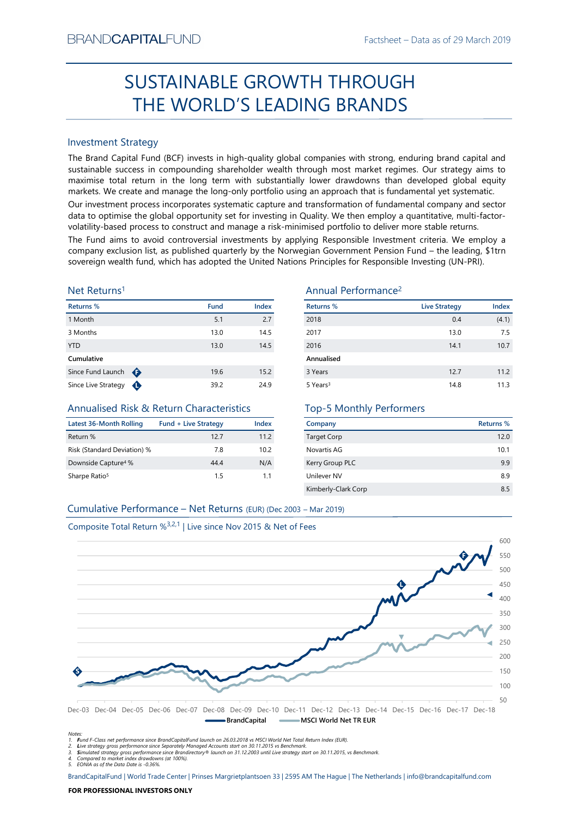# Factsheet – Data as of 29 March 2019<br> **CUGH** SUSTAINABLE GROWTH THROUGH THE WORLD'S LEADING BRANDS

# Investment Strategy

SUSTAINABLE GROWTH THROUGH<br>
THE WORLD'S LEADING BRANDS<br>
Investment Strategy<br>
Investment Strategy<br>
Investment Strategy<br>
Investment Strategy and Capital Fund (BCF) invests in high-quality global companies with strong, endur  $\begin{tabular}{l|c|c|c|c|c} \hline \multicolumn{3}{l}{SUSTAINABLE GROWTH THROUGH} \hline \multicolumn{3}{l}{PUCSAINABLE GROWTH THROUGH} \hline \multicolumn{3}{l}{PUCSAINLES RAMDS} \hline \multicolumn{3}{l}{SUSTANMS} \hline \multicolumn{3}{l}{The Brand Capital Fund (SCF) invests in high-quality global companies with strong enturing branch data and sustainable success in compromise total return in the long term with sustainability lower drawdowns than developed global equity. Our investment process incorporate system with substantial lower drawdowns that to devitive, and many a specific of the global opportunity set for investing in a approach that to optimize the global opportunity to be used to provide a high quality. We then employ a quantitative, multi-factor-doulattice process$ SUSTAINABLE GROWTH THROUGH<br>
THE WORLD'S LEADING BRANDS<br>
Investment Strategy<br>
The Brand Capital Fund (BCF) invests in high-quality global companies with strong, enduring brand capital and<br>
maximise total return in the long THE WORLD'S LEADING BRANDS<br>
Investment Strategy<br>
The Brand Capital Fund (BCF) invests in high-quality global companies with strong, enduring brand capital and<br>
the Brand Capital Fund (BCF) invests in high-quality global c Investment Strategy<br>
The Brand Capital Fund (BCF) invests in high-quality global companies with strong, enduring brand capital and<br>
sustainable success in compounding shareholder wealth through most market regimes. Our str Investment Strategy<br>
Since Europe Since Comparis (CCF) invests in high-quality global companies with strong, enduring brand Capital and<br>
Sustainable success in compounding shareholder wealth through most market regimes. Ou BRAND**CAPITAL**FUND<br>
Factsheet – Data as of 29 March 2019<br> **SUSTAINABLE GROWTH THROUGH**<br> **THE WORLD'S LEADING BRANDS**<br>
Investment Strategy<br>
Investment Strategy<br>
Investment Strategy<br>
Investment Strategy<br>
Investment Strategy<br> BRAND**CAPITAL**FUND<br>
SUSTAINABLE GROWTH THROUGH<br>
THE WORLD'S LEADING BRANDS<br>
Investment Strategy<br>
The Brand Capital Fund (BCF) invests in high-quality global companies with strong, enduring brand capital and<br>
Investment Str ESTAIN THE WORLD'S LEADING Factsheet – Data as of 29 March 2019<br>
SUSTAIN ABLE GROWTH THROUGH<br>
THE WORLD'S LEADING BRANDS<br>
Investment Strategy<br>
The Brand Capital Fund (BCF) invests in high-quality global companies with stro Factsheet – Data as of 29 March 2019<br>
SUSTAINABLE GROWTH THROUGH<br>
THE WORLD'S LEADING BRANDS<br>
Investment Strategy<br>
Investment Strategy<br>
Investment Strategy<br>
Investment Strategy<br>
Investment Strategy<br>
Investment Strategy<br>
In BRAND**CAPITAL**FUND<br>
SUSTAINABLE GROWTH THROUGH<br>
THE WORLD'S LEADING BRANDS<br>
Investment Strategy<br>
Investment Strategy<br>
Investment Strategy<br>
Investment Strategy<br>
Investment Strategy<br>
Sustainable success in compounding shareh BRANDCAPITALFUND<br>
SUSTAINABLE GROWTH THROUGH<br>
THE WORLD'S LEADING BRANDS<br>
Investment Strategy<br>
Investment Strategy<br>
The Brand Capital Fund (ICF) invests in high-quality global companies with strong, enduring brand capital BRANDCAPITALFUND<br>
SUSTAINABLE GROWTH THROUGH<br>
THE WORLD'S LEADING BRANDS<br>
Investment Strategy<br>
Interactional Construct and (BCF) invests in high-quality global companies with strong, enduring brand capital and<br>
maximise to BRANDCAPITALFUND<br>
Factsheet – Data as of 29 March 2019<br>
SUSTAINABLE GROWTH THROUGH<br>
THE WORLD'S LEADING BRANDS<br>
Investment Strategy<br>
The Brand Gapital Fund (BCF) invests in high-quality global companies with strong, enduri BRANDCAPITALFUND<br>
SUSTAINABLE GROWTH THROUGH<br>
THE WORLD'S LEADING BRANDS<br>
Investment Strategy<br>
The Brand Capital Fund (BCF) invests in high-quality global companies with strong, enduring brand capital and<br>
maximize to con BRANDCAPITALFUND<br>
SUSTAINABLE GROWTH THROUGH<br>
THE WORLD'S LEADING BRANDS<br>
Investment Strategy<br>
Investment Strategy<br>
Investign and Capital Trum (GCF) invests in high-quality global companies with strong, enduring brand capi

# Net Returns1

| Returns %           |   | <b>Fund</b> | Index |
|---------------------|---|-------------|-------|
| 1 Month             |   | 5.1         | 2.7   |
| 3 Months            |   | 13.0        | 14.5  |
| <b>YTD</b>          |   | 13.0        | 14.5  |
| Cumulative          |   |             |       |
| Since Fund Launch   | ⊕ | 19.6        | 15.2  |
| Since Live Strategy |   | 39.2        | 24.9  |

# Annualised Risk & Return Characteristics

| <b>Latest 36-Month Rolling</b>  | <b>Fund + Live Strategy</b> | Index |
|---------------------------------|-----------------------------|-------|
| Return %                        | 12.7                        | 11.2  |
| Risk (Standard Deviation) %     | 78                          | 102   |
| Downside Capture <sup>4</sup> % | 4444                        | N/A   |
| Sharpe Ratio <sup>5</sup>       | 15                          | 11    |

# Annual Performance2

|                                                                                                                                                                                                                                                                                                                                                                                                                                                                                                                                                                                                                                                                                                                                                                                                       |                             |       | <b>SUSTAINABLE GROWTH THROUGH</b> |                      |                  |
|-------------------------------------------------------------------------------------------------------------------------------------------------------------------------------------------------------------------------------------------------------------------------------------------------------------------------------------------------------------------------------------------------------------------------------------------------------------------------------------------------------------------------------------------------------------------------------------------------------------------------------------------------------------------------------------------------------------------------------------------------------------------------------------------------------|-----------------------------|-------|-----------------------------------|----------------------|------------------|
|                                                                                                                                                                                                                                                                                                                                                                                                                                                                                                                                                                                                                                                                                                                                                                                                       |                             |       | THE WORLD'S LEADING BRANDS        |                      |                  |
|                                                                                                                                                                                                                                                                                                                                                                                                                                                                                                                                                                                                                                                                                                                                                                                                       |                             |       |                                   |                      |                  |
| <b>Investment Strategy</b>                                                                                                                                                                                                                                                                                                                                                                                                                                                                                                                                                                                                                                                                                                                                                                            |                             |       |                                   |                      |                  |
| The Brand Capital Fund (BCF) invests in high-quality global companies with strong, enduring brand capital and<br>sustainable success in compounding shareholder wealth through most market regimes. Our strategy aims to<br>maximise total return in the long term with substantially lower drawdowns than developed global equity<br>markets. We create and manage the long-only portfolio using an approach that is fundamental yet systematic.<br>Our investment process incorporates systematic capture and transformation of fundamental company and sector<br>data to optimise the global opportunity set for investing in Quality. We then employ a quantitative, multi-factor-<br>volatility-based process to construct and manage a risk-minimised portfolio to deliver more stable returns. |                             |       |                                   |                      |                  |
| The Fund aims to avoid controversial investments by applying Responsible Investment criteria. We employ a<br>company exclusion list, as published quarterly by the Norwegian Government Pension Fund - the leading, \$1trn<br>sovereign wealth fund, which has adopted the United Nations Principles for Responsible Investing (UN-PRI).                                                                                                                                                                                                                                                                                                                                                                                                                                                              |                             |       |                                   |                      |                  |
| Net Returns <sup>1</sup>                                                                                                                                                                                                                                                                                                                                                                                                                                                                                                                                                                                                                                                                                                                                                                              |                             |       | Annual Performance <sup>2</sup>   |                      |                  |
| Returns %                                                                                                                                                                                                                                                                                                                                                                                                                                                                                                                                                                                                                                                                                                                                                                                             | <b>Fund</b>                 | Index | <b>Returns %</b>                  | <b>Live Strategy</b> | Index            |
| 1 Month                                                                                                                                                                                                                                                                                                                                                                                                                                                                                                                                                                                                                                                                                                                                                                                               | 5.1                         | 2.7   | 2018                              | 0.4                  | (4.1)            |
| 3 Months                                                                                                                                                                                                                                                                                                                                                                                                                                                                                                                                                                                                                                                                                                                                                                                              | 13.0                        | 14.5  | 2017                              | 13.0                 | 7.5              |
| <b>YTD</b>                                                                                                                                                                                                                                                                                                                                                                                                                                                                                                                                                                                                                                                                                                                                                                                            | 13.0                        | 14.5  | 2016                              | 14.1                 | 10.7             |
| Cumulative                                                                                                                                                                                                                                                                                                                                                                                                                                                                                                                                                                                                                                                                                                                                                                                            |                             |       | Annualised                        |                      |                  |
| Since Fund Launch $\bigoplus$                                                                                                                                                                                                                                                                                                                                                                                                                                                                                                                                                                                                                                                                                                                                                                         | 19.6                        | 15.2  | 3 Years                           | 12.7                 | 11.2             |
| Since Live Strategy $\bigoplus$                                                                                                                                                                                                                                                                                                                                                                                                                                                                                                                                                                                                                                                                                                                                                                       | 39.2                        | 24.9  | 5 Years <sup>3</sup>              | 14.8                 | 11.3             |
| Annualised Risk & Return Characteristics                                                                                                                                                                                                                                                                                                                                                                                                                                                                                                                                                                                                                                                                                                                                                              |                             |       | <b>Top-5 Monthly Performers</b>   |                      |                  |
| <b>Latest 36-Month Rolling</b>                                                                                                                                                                                                                                                                                                                                                                                                                                                                                                                                                                                                                                                                                                                                                                        | <b>Fund + Live Strategy</b> | Index | Company                           |                      | <b>Returns %</b> |
| Return %                                                                                                                                                                                                                                                                                                                                                                                                                                                                                                                                                                                                                                                                                                                                                                                              | 12.7                        | 11.2  | <b>Target Corp</b>                |                      | 12.0             |
| Risk (Standard Deviation) %                                                                                                                                                                                                                                                                                                                                                                                                                                                                                                                                                                                                                                                                                                                                                                           | 7.8                         | 10.2  | Novartis AG                       |                      | 10.1             |
| Downside Capture <sup>4</sup> %                                                                                                                                                                                                                                                                                                                                                                                                                                                                                                                                                                                                                                                                                                                                                                       | 44.4                        | N/A   | Kerry Group PLC                   |                      | 9.9              |
| Sharpe Ratio <sup>5</sup>                                                                                                                                                                                                                                                                                                                                                                                                                                                                                                                                                                                                                                                                                                                                                                             | 1.5                         | 1.1   | Unilever NV                       |                      | 8.9              |
|                                                                                                                                                                                                                                                                                                                                                                                                                                                                                                                                                                                                                                                                                                                                                                                                       |                             |       | Kimberly-Clark Corp               |                      | 8.5              |
| Cumulative Performance - Net Returns (EUR) (Dec 2003 - Mar 2019)                                                                                                                                                                                                                                                                                                                                                                                                                                                                                                                                                                                                                                                                                                                                      |                             |       |                                   |                      |                  |
| Composite Total Return % <sup>3,2,1</sup>   Live since Nov 2015 & Net of Fees                                                                                                                                                                                                                                                                                                                                                                                                                                                                                                                                                                                                                                                                                                                         |                             |       |                                   |                      |                  |
|                                                                                                                                                                                                                                                                                                                                                                                                                                                                                                                                                                                                                                                                                                                                                                                                       |                             |       |                                   |                      | 600              |
|                                                                                                                                                                                                                                                                                                                                                                                                                                                                                                                                                                                                                                                                                                                                                                                                       |                             |       |                                   |                      |                  |

# Top-5 Monthly Performers

| Company             | Returns % |
|---------------------|-----------|
| <b>Target Corp</b>  | 12.0      |
| Novartis AG         | 10.1      |
| Kerry Group PLC     | 9.9       |
| Unilever NV         | 8.9       |
| Kimberly-Clark Corp | 8.5       |



Notes:<br>1. Fund F-Class net performance since BrandCapitalFund launch on 26.03.2018 vs MSCI World Net Total Return Index (EUR).<br>2. Live strategy gross performance since Separately Managed Accounts start on 30.11.2015 vs Ben

5. EONIA as of the Data Date is -0.36%.